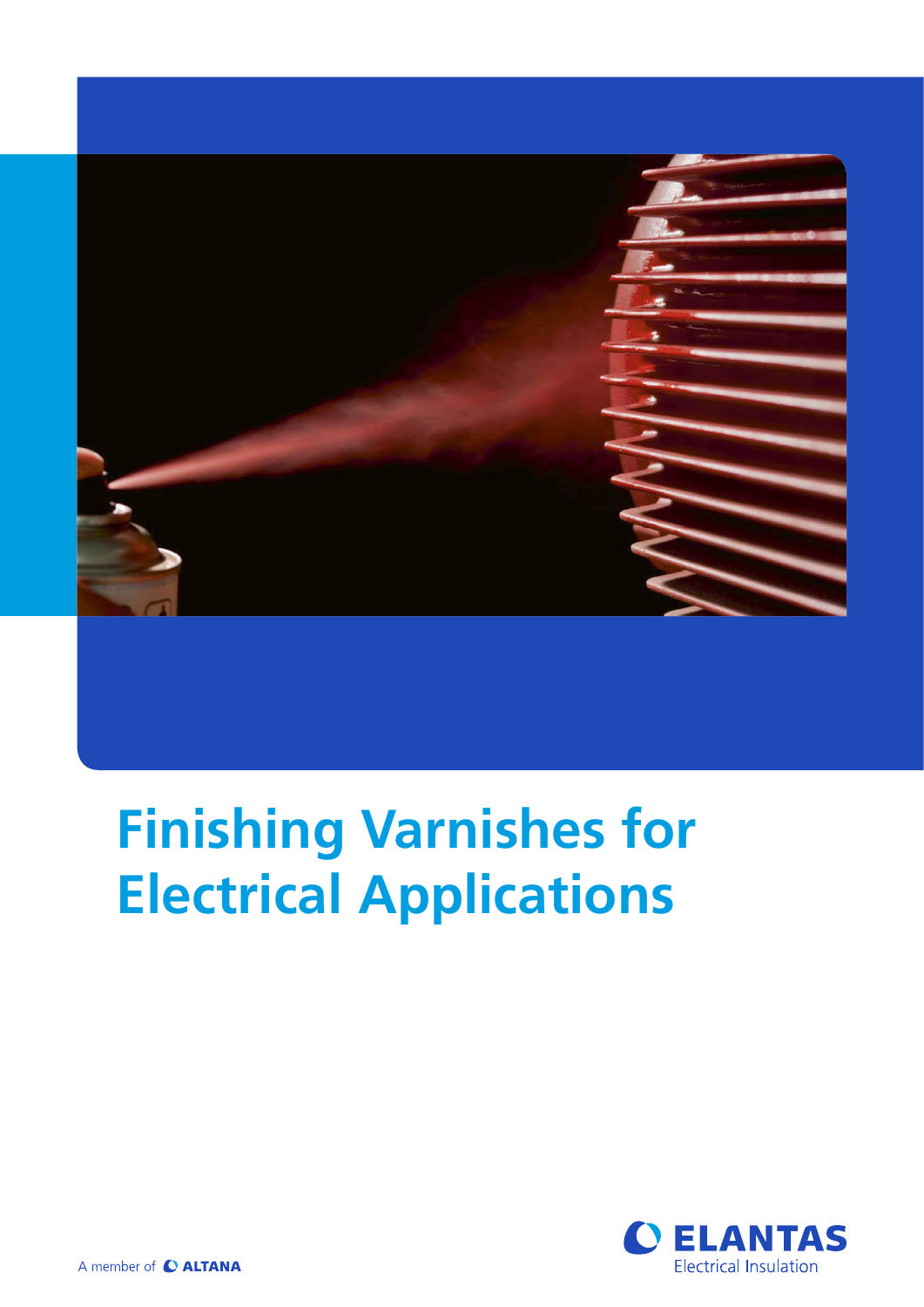

# **Finishing Varnishes for Electrical Applications**

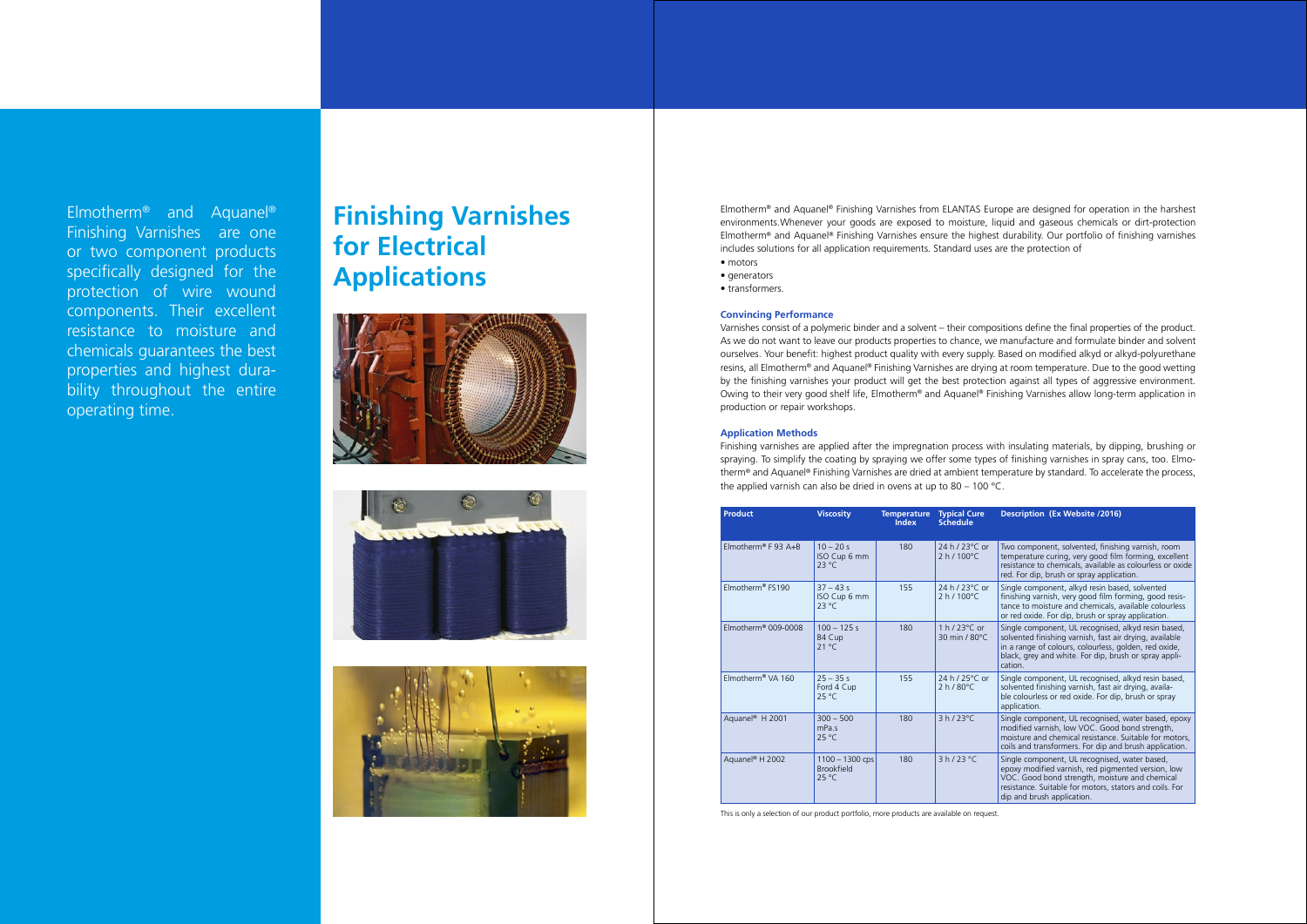Elmotherm® and Aquanel® Finishing Varnishes from ELANTAS Europe are designed for operation in the harshest environments.Whenever your goods are exposed to moisture, liquid and gaseous chemicals or dirt-protection Elmotherm® and Aquanel® Finishing Varnishes ensure the highest durability. Our portfolio of finishing varnishes includes solutions for all application requirements. Standard uses are the protection of • motors

- generators
- transformers.

#### **Convincing Performance**

Varnishes consist of a polymeric binder and a solvent – their compositions define the final properties of the product. As we do not want to leave our products properties to chance, we manufacture and formulate binder and solvent ourselves. Your benefit: highest product quality with every supply. Based on modified alkyd or alkyd-polyurethane resins, all Elmotherm® and Aquanel® Finishing Varnishes are drying at room temperature. Due to the good wetting by the finishing varnishes your product will get the best protection against all types of aggressive environment. Owing to their very good shelf life, Elmotherm® and Aquanel® Finishing Varnishes allow long-term application in production or repair workshops.

### **Application Methods**

Finishing varnishes are applied after the impregnation process with insulating materials, by dipping, brushing or spraying. To simplify the coating by spraying we offer some types of finishing varnishes in spray cans, too. Elmotherm® and Aquanel® Finishing Varnishes are dried at ambient temperature by standard. To accelerate the process, the applied varnish can also be dried in ovens at up to 80 – 100 °C.

| <b>Product</b>                  | <b>Viscosity</b>                                         | <b>Temperature</b><br><b>Index</b> | <b>Typical Cure</b><br><b>Schedule</b>   | <b>Description (Ex Website /2016)</b>                                                                                                                                                                                                          |
|---------------------------------|----------------------------------------------------------|------------------------------------|------------------------------------------|------------------------------------------------------------------------------------------------------------------------------------------------------------------------------------------------------------------------------------------------|
| Elmotherm <sup>®</sup> F 93 A+B | $10 - 20s$<br>ISO Cup 6 mm<br>$23^{\circ}$ C             | 180                                | 24 h / 23 °C or<br>$2 h / 100^{\circ}$ C | Two component, solvented, finishing varnish, room<br>temperature curing, very good film forming, excellent<br>resistance to chemicals, available as colourless or oxide<br>red. For dip, brush or spray application.                           |
| Flmotherm® FS190                | $37 - 43s$<br>ISO Cup 6 mm<br>$23^{\circ}$ C             | 155                                | 24 h / 23 °C or<br>$2 h / 100^{\circ}$ C | Single component, alkyd resin based, solvented<br>finishing varnish, very good film forming, good resis-<br>tance to moisture and chemicals, available colourless<br>or red oxide. For dip, brush or spray application.                        |
| $Elmotherm® 009-0008$           | $100 - 125s$<br>B4 Cup<br>21 °C                          | 180                                | 1 h / $23^{\circ}$ C or<br>30 min / 80°C | Single component, UL recognised, alkyd resin based,<br>solvented finishing varnish, fast air drying, available<br>in a range of colours, colourless, golden, red oxide,<br>black, grey and white. For dip, brush or spray appli-<br>cation.    |
| Elmotherm <sup>®</sup> VA 160   | $25 - 35s$<br>Ford 4 Cup<br>25 °C                        | 155                                | 24 h / 25°C or<br>$2 h/80^{\circ}$ C     | Single component, UL recognised, alkyd resin based,<br>solvented finishing varnish, fast air drying, availa-<br>ble colourless or red oxide. For dip, brush or spray<br>application.                                                           |
| Aquanel <sup>®</sup> H 2001     | $300 - 500$<br>mPa.s<br>$25^{\circ}$ C                   | 180                                | $3 h / 23^{\circ}$ C                     | Single component, UL recognised, water based, epoxy<br>modified varnish, low VOC. Good bond strength,<br>moisture and chemical resistance. Suitable for motors.<br>coils and transformers. For dip and brush application.                      |
| Aguanel <sup>®</sup> H 2002     | $1100 - 1300$ cps<br><b>Brookfield</b><br>$25^{\circ}$ C | 180                                | 3 h / 23 °C                              | Single component, UL recognised, water based,<br>epoxy modified varnish, red pigmented version, low<br>VOC. Good bond strength, moisture and chemical<br>resistance. Suitable for motors, stators and coils. For<br>dip and brush application. |

This is only a selection of our product portfolio, more products are available on request.

Elmotherm® and Aquanel® Finishing Varnishes are one or two component products specifically designed for the protection of wire wound components. Their excellent resistance to moisture and chemicals guarantees the best properties and highest durability throughout the entire operating time.

# **Finishing Varnishes for Electrical Applications**